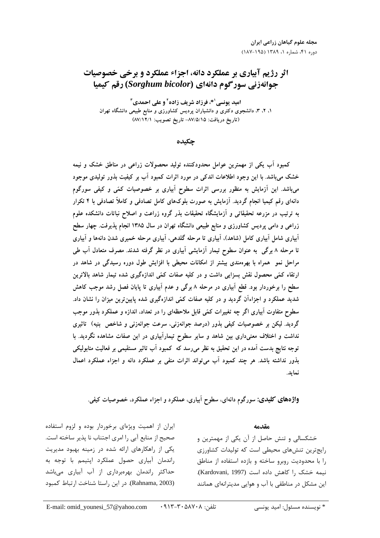# **اثر رژیم آبیاری بر عملکرد دانه، اجزاء عملکرد و برخی خصوصیات** جوانهزنی سورگوم دانهای (Sorghum bicolor) رقم کیمیا

امید یونسی<sup>۱</sup>\*، فرزاد شریف زاده<sup>۲</sup> و علی احمدی<sup>۳</sup> ۱، ۲، ۳، دانشجوی دکتری و دانشیاران پردیس کشاورزی و منابع طبیعی دانشگاه تهران (تاريخ دريافت: ٨٧/٥/١٥- تاريخ تصويب: ٨٧/١٢/١)

چکىدە

کمبود اَب یکی از مهمترین عوامل محدودکننده تولید محصولات زراعی در مناطق خشک و نیمه خشک میباشد. با این وجود اطلاعات اندکی در مورد اثرات کمبود اَب بر کیفیت بذور تولیدی موجود میباشد. این آزمایش به منظور بررسی اثرات سطوح آبیاری بر خصوصیات کمّی و کیفی سورگوم دانهای رقم کیمیا انجام گردید. اَزمایش به صورت بلوکهای کامل تصادفی و کاملاً تصادفی با ۴ تکرار به ترتیب در مزرعه تحقیقاتی و آزمایشگاه تحقیقات بذر گروه زراعت و اصلاح نباتات دانشکده علوم زراعی و دامی پردیس کشاورزی و منابع طبیعی دانشگاه تهران در سال ۱۳۸۵ انجام پذیرفت. چهار سطح آبیاری شامل آبیاری کامل (شاهد)، آبیاری تا مرحله گلدهی، آبیاری مرحله خمیری شدن دانهها و آبیاری تا مرحله ۸ برگی ً به عنوان سطوح تیمار آزمایشی آبیاری در نظر گرفته شدند. مصرف متعادل آب طی مراحل نمو ً همراه با بهرهمندی بیشتر از امکانات محیطی با افزایش طول دوره رسیدگی در شاهد در ارتقاء کمّی محصول نقش بسزایی داشت و در کلیه صفات کمّی اندازهگیری شده تیمار شاهد بالاترین سطح را برخوردار بود. قطع آبیاری در مرحله ۸ برگی و عدم آبیاری تا پایان فصل رشد موجب کاهش شدید عملکرد و اجزاءاَن گردید و در کلیه صفات کمّی اندازهگیری شده پایین ترین میزان را نشان داد. سطوح متفاوت آبیاری اگر چه تغییرات کمّی قابل ملاحظهای را در تعداد، اندازه و عملکرد بذور موجب گردید. لیکن بر خصوصیات کیفی بذور (درصد جوانهزنی، سرعت جوانهزنی و شاخص بنیه) تاثیری نداشت و اختلاف معنیداری بین شاهد و سایر سطوح تیمارآبیاری در این صفات مشاهده نگردید. با توجه نتایج بدست آمده در این تحقیق به نظر میرسد که کمبود آب تاثیر مستقیمی بر فعالیت متابولیکی بذور نداشته باشد. هر چند کمبود آب می تواند اثرات منفی بر عملکرد دانه و اجزاء عملکرد اعمال نمايد.

**واژههای کلیدی:** سورگوم دانهای، سطوح اَبیاری، عملکرد و اجزاء عملکرد، خصوصیات کیفی.

### مقدمه

خشکسالی و تنش حاصل از آن یکی از مهمترین و رایجترین تنشهای محیطی است که تولیدات کشاورزی را با محدودیت روبرو ساخته و بازده استفاده از مناطق نيمه خشک را کاهش داده است (Kardovani, 1997). این مشکل در مناطقی با آب و هوایی مدیترانهای همانند

ایران از اهمیت ویژهای برخوردار بوده و لزوم استفاده صحيح از منابع آبي را امري اجتناب نا پذير ساخته است. یکی از راهکارهای ارائه شده در زمینه بهبود مدیریت راندمان آبیاری حصول عملکرد اپتیمم با توجه به حداکثر راندمان بهرهبرداری از آب آبیاری میباشد (Rahnama, 2003). در این راستا شناخت ارتباط کمبود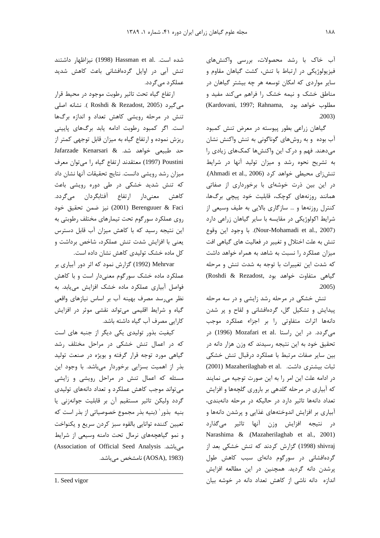آب خاک با رشد محصولات، بررسی واکنش های فیزیولوژیکی در ارتباط با تنش، کشت گیاهان مقاوم و سایر مواردی که امکان توسعه هر چه بیشتر گیاهان در مناطق خشک و نیمه خشک را فراهم میکند مفید و (Kardovani, 1997; Rahnama, مطلوب خواهد بود  $.2003)$ 

گیاهان زراعی بطور پیوسته در معرض تنش کمبود آب بوده و به روشهای گوناگونی به تنش واکنش نشان می دهند. فهم و درک این واکنشها کمکهای زیادی را به تشریح نحوه رشد و میزان تولید آنها در شرایط تنش زای محیطی خواهد کرد (Ahmadi et al., 2006). در این بین ذرت خوشهای با برخورداری از صفاتی همانند روزنههای کوچک، قابلیت خود پیچی برگها، کنترل روزنهها و … سازگاری بالایی به طیف وسیعی از شرایط اکولوژیکی در مقایسه با سایر گیاهان زراعی دارد (Nour-Mohamadi et al., 2007). با وجود اين وقوع تنش به علت اختلال و تغییر در فعالیت های گیاهی افت میزان عملکرد را نسبت به شاهد به همراه خواهد داشت كه شدت اين تغييرات با توجه به شدت تنش و مرحله CRoshdi & Rezadost, رود (Roshdi & Rezadost,  $.2005)$ 

تنش خشکی در مرحله رشد زایشی و در سه مرحله پیدایش و تشکیل گل، گردهافشانی و لقاح و پر شدن دانهها اثرات متفاوتى را بر اجزاء عملكرد موجب میگردد. در این راستا .Mozafari et al (1996) در تحقیق خود به این نتیجه رسیدند که وزن هزار دانه در بين ساير صفات مرتبط با عملكرد درقبال تنش خشكى (2001) Mazaherilaghab et al. (2001) در ادامه علت این امر را به این صورت توجیه می نمایند که آبیاری در مرحله گلدهی بر باروری گلچهها و افزایش تعداد دانهها تاثیر دارد در حالیکه در مرحله دانهبندی، آبیاری بر افزایش اندوختههای غذایی و پرشدن دانهها و در نتیجه افزایش وزن آنها تاثیر میگذارد Narashima & .(Mazaherilaghab et al., 2001) shivraj (1998) گزارش کردند که تنش خشکی بعد از گردهافشانی در سورگوم دانهای سبب کاهش طول پرشدن دانه گردید. همچنین در این مطالعه افزایش اندازه دانه ناشی از کاهش تعداد دانه در خوشه بیان

شده است. Hassman et al. نيزاظهار داشتند تنش آبی در اوایل گردهافشانی باعث کاهش شدید عملکر د مے گردد.

ارتفاع گیاه تحت تاثیر رطوبت موجود در محیط قرار می گیرد (Roshdi & Rezadost, 2005 ). نشانه اصلی تنش در مرحله رویشی کاهش تعداد و اندازه برگها است. اگر کمبود رطوبت ادامه یابد برگهای پایینی ریزش نموده و ارتفاع گیاه به میزان قابل توجهی کمتر از Jafarzade Kenarsari & حد طبيعي خواهد شد. & Poustini (1997) معتقدند ارتفاع گیاه را میتوان معرف میزان رشد رویشی دانست. نتایج تحقیقات آنها نشان داد که تنش شدید خشکی در طی دوره رویشی باعث كاهش معنىدار ارتفاع أفتابگردان مىگردد. (2001) Berenguuer & Faci نيز ضمن تحقيق خود روی عملکرد سورگوم تحت تیمارهای مختلف رطوبتی به این نتیجه رسید که با کاهش میزان آب قابل دسترس یعنی با افزایش شدت تنش عملکرد، شاخص برداشت و كل ماده خشك توليدى كاهش نشان داده است.

Mehrvar (1992) گزارش نمود که اثر دور آبیاری بر عملکرد ماده خشک سورگوم معنیدار است و با کاهش فواصل آبیاری عملکرد ماده خشک افزایش می یابد. به نظر می رسد مصرف بھینه آب بر اساس نیازهای واقعی گیاه و شرایط اقلیمی میتواند نقشی موثر در افزایش کارایی مصرف آب گیاه داشته باشد.

کیفیت بذور تولیدی یکی دیگر از جنبه های است که در اعمال تنش خشکی در مراحل مختلف رشد گیاهی مورد توجه قرار گرفته و بویژه در صنعت تولید بذر از اهمیت بسزایی برخوردار میباشد. با وجود این مسئله که اعمال تنش در مراحل رویشی و زایشی می تواند موجب کاهش عملکرد و تعداد دانههای تولیدی گردد ولیکن تاثیر مستقیم آن بر قابلیت جوانهزنی یا بنيه بذور` (بنيه بذر مجموع خصوصياتي از بذر است كه تعيين كننده توانايي بالقوه سبز كردن سريع و يكنواخت و نمو گیاهچههای نرمال تحت دامنه وسیعی از شرایط (Association of Official Seed Analysis میباشد. (AOSA), 1983) نامشخص مے باشد.

<sup>1.</sup> Seed vigor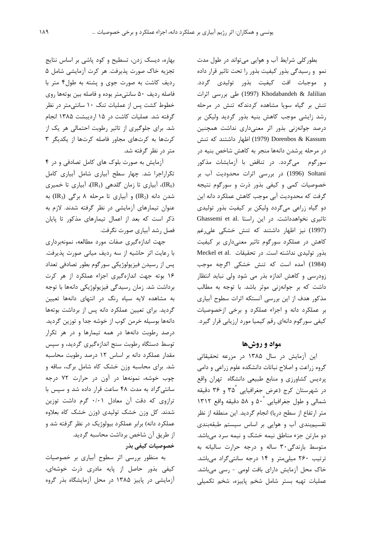بطور کلی شرایط آب و هوایی می تواند در طول مدت نمو ورسیدگی بذور کیفیت بذور را تحت تاثیر قرار داده و موجبات افت کیفیت بذور تولیدی گردد. (1997) Khodabandeh & Jalilian طی بررسی اثرات تنش بر گیاه سویا مشاهده کردندکه تنش در مرحله رشد زایشی موجب کاهش بنیه بذور گردید ولیکن بر درصد جوانهزنی بذور اثر معنیداری نداشت همچنین Dorenbos & Kassum (1979) اظهار داشتند که تنش در مرحله پرشدن دانهها منجر به کاهش شاخص بنیه در سورگوم میگردد. در تناقض با آزمایشات مذکور Soltani (1996) در بررسی اثرات محدودیت آب بر خصوصیات کمی و کیفی بذور ذرت و سورگوم نتیجه گرفت که محدودیت آبی موجب کاهش عملکرد دانه این دو گیاه زراعی میگردد ولیکن بر کیفیت بذور تولیدی Ghassemi et al. تاثیری نخواهدداشت. در این راستا (1997) نیز اظهار داشتند که تنش خشکی علی رغم کاهش در عملکرد سورگوم تاثیر معنیداری بر کیفیت بذور توليدى نداشته است. در تحقيقات Meckel et al. (1984) آمده است که تنش خشکی اگرچه موجب زودرسی و کاهش اندازه بذر می شود ولی نباید انتظار داشت که بر جوانهزنی موثر باشد. با توجه به مطالب مذکور هدف از این بررسی آنستکه اثرات سطوح آبیاری بر عملکرد دانه و اجزاء عملکرد و برخی ازخصوصیات کیفی سورگوم دانهای رقم کیمیا مورد ارزیابی قرار گیرد.

#### مواد و روشها

این آزمایش در سال ۱۳۸۵ در مزرعه تحقیقاتی گروه زراعت و اصلاح نباتات دانشکده علوم زراعی و دامی پردیس کشاورزی و منابع طبیعی دانشگاه تهران واقع در شهرستان کرج (عرض جغرافیایی ۳۵ْ و ۳۶ دقیقه شمالی و طول جغرافیایی ۵۰ و ۵۸ دقیقه واقع ۱۳۱۲ متر ارتفاع از سطح دریا) انجام گردید. این منطقه از نظر تقسیم بندی آب و هوایی بر اساس سیستم طبقهبندی دو مارتن جزء مناطق نیمه خشک و نیمه سرد میباشد. متوسط بارندگی ۳۰ ساله و درجه حرارت سالیانه به ترتیب ۲۶۰ میلی متر و ۱۴ درجه سانتیگراد میباشد. خاک محل آزمایش دارای بافت لومی - رسی میباشد. عملیات تهیه بستر شامل شخم پاییزه، شخم تکمیلی

بهاره، دیسک زدن، تسطیح و کود پاشی بر اساس نتایج تجزيه خاک صورت پذيرفت. هر كرت أزمايشي شامل ۵ رديف كاشت به صورت جوى و يشته به طول۴ متر با فاصله رديف ۵۰ سانتي متر بوده و فاصله بين بوتهها روى خطوط کشت پس از عملیات تنک ۱۰ سانتی متر در نظر گرفته شد. عملیات کاشت در ۱۵ اردیبشت ۱۳۸۵ انجام شد. برای جلوگیری از تاثیر رطوبت احتمالی هر یک از كرتها به كرتهاى مجاور فاصله كرتها از يكديگر ٣ متر در نظر گرفته شد.

آزمایش به صورت بلوک های کامل تصادفی و در ۴ تکراراجرا شد. چهار سطح آبیاری شامل آبیاری کامل (IR<sub>0</sub>)، آبیاری تا زمان گلدهی (IR<sub>1</sub>)، آبیاری تا خمیری شدن دانه (IR2) و آبیاری تا مرحله ۸ برگی (IR3) به عنوان تیمارهای آزمایشی در نظر گرفته شدند. لازم به ذکر است که بعد از اعمال تیمارهای مذکور تا پایان فصل رشد آبیاری صورت نگرفت.

جهت اندازهگیری صفات مورد مطالعه، نمونهبرداری با رعایت اثر حاشیه از سه ردیف میانی صورت پذیرفت. پس از رسیدن فیزیولوژیکی سورگوم بطور تصادفی تعداد ١۶ بوته جهت اندازهگیری اجزاء عملکرد از هر کرت برداشت شد. زمان رسیدگی فیزیولوژیکی دانهها با توجه به مشاهده لایه سیاه رنگ در انتهای دانهها تعیین گردید. برای تعیین عملکرد دانه پس از برداشت بوتهها دانهها بوسیله خرمن کوب از خوشه جدا و توزین گردید. درصد رطوبت دانهها در همه تیمارها و در هر تکرار توسط دستگاه رطوبت سنج اندازهگیری گردید، و سپس مقدار عملکرد دانه بر اساس ١٢ درصد رطوبت محاسبه شد. برای محاسبه وزن خشک کاه شامل برگ، ساقه و چوب خوشه، نمونهها در آون در حرارت ٧٢ درجه سانتی گراد به مدت ۴۸ ساعت قرار داده شد و سیس با ترازوی که دقت آن معادل ۰/۰۱ گرم داشت توزین شدند. کل وزن خشک تولیدی (وزن خشک کاه بعلاوه عملکرد دانه) برابر عملکرد بیولوژیک در نظر گرفته شد و از طريق أن شاخص برداشت محاسبه گرديد. خصوصیات کیفی بذر

به منظور بررسی اثر سطوح آبیاری بر خصوصیات کیفی بذور حاصل از پایه مادری ذرت خوشهای، آزمایشی در پاییز ۱۳۸۵ در محل آزمایشگاه بذر گروه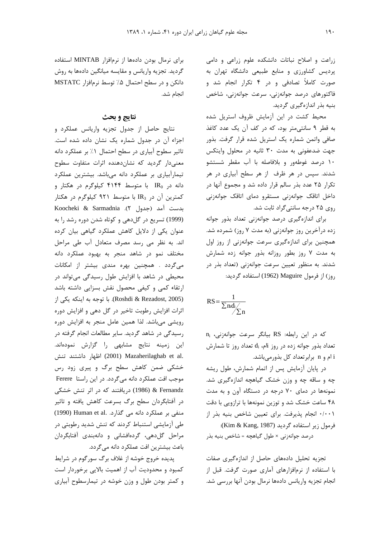زراعت و اصلاح نباتات دانشكده علوم زراعى و دامى پردیس کشاورزی و منابع طبیعی دانشگاه تهران به صورت کاملاً تصادفی و در ۴ تکرار انجام شد و فاكتورهاى درصد جوانەزنى، سرعت جوانەزنى، شاخص بنیه بذر اندازهگیری گردید.

محیط کشت در این آزمایش ظروف استریل شده به قطر ۹ سانتی متر بود، که در کف آن یک عدد کاغذ صافی واتمن شماره یک استریل شده قرار گرفت. بذور جهت ضدعفونی به مدت ۳۰ ثانیه در محلول وایتکس ۱۰ درصد غوطهور و بلافاصله با آب مقطر شستشو شدند. سپس در هر ظرف از هر سطح آبیاری در هر تکرار ۲۵ عدد بذر سالم قرار داده شد و مجموع آنها در داخل اتاقک جوانهزنی مستقرو دمای اتاقک جوانهزنی روی ۲۵ درجه سانتی گراد ثابت شد.

برای اندازهگیری درصد جوانهزنی تعداد بذور جوانه زده درآخرین روز جوانهزنی (به مدت ۷ روز) شمرده شد. همچنین برای اندازهگیری سرعت جوانهزنی از روز اول به مدت ٧ روز بطور روزانه بذور جوانه زده شمارش شدند. به منظور تعیین سرعت جوانهزنی (تعداد بذر در روز) از فرمول Maguire (1962) استفاده گردید:

$$
RS = \frac{1}{\sum n_i d_i / \sum n}
$$

كه در اين رابطه: RS بيانكر سرعت جوانهزنى، n<sub>i</sub> تعداد بذور جوانه زده در روز ja ته d<sub>i</sub> تعداد روز تا شمارش i ام و n برابرتعداد کل بذورمی،باشد.

در پایان آزمایش پس از اتمام شمارش، طول ریشه چه و ساقه چه و وزن خشک گیاهچه اندازهگیری شد. نمونهها در دمای ۷۰ درجه در دستگاه آون و به مدت ۴۸ ساعت خشک شد و توزین نمونهها با ترازویی با دقت ۰/۰۰۱ انجام پذیرفت. برای تعیین شاخص بنیه بذر از فرمول زير استفاده گرديد (Kim & Kang, 1987): درصد جوانهزني × طول گياهچه = شاخص بنيه بذر

تجزیه تحلیل دادههای حاصل از اندازهگیری صفات با استفاده از نرمافزارهای آماری صورت گرفت. قبل از انجام تجزیه واریانس دادهها نرمال بودن آنها بررسی شد.

برای نرمال بودن دادهها از نرمافزار MINTAB استفاده گردید. تجزیه واریانس و مقایسه میانگین دادهها به روش دانكن و در سطح احتمال ۵٪ توسط نرمافزار MSTATC انجام شد.

## نتايج و بحث

نتايج حاصل از جدول تجزيه واريانس عملكرد و اجزاء آن در جدول شماره یک نشان داده شده است. تاثیر سطوح آبیاری در سطح احتمال ۱٪ بر عملکرد دانه معنیدار گردید که نشاندهنده اثرات متفاوت سطوح تیمارآبیاری بر عملکرد دانه میباشد. بیشترین عملکرد دانه در IR<sub>0</sub> با متوسط ۴۱۴۴ کیلوگرم در هکتار و کمترین آن در IR3 با متوسط ۹۲۱ کیلوگرم در هکتار Koocheki & Sarmadnia .(٢ جدول ٢). (1999) تسریع در گل دهی و کوتاه شدن دوره رشد را به عنوان یکی از دلایل کاهش عملکرد گیاهی بیان کرده اند. به نظر می رسد مصرف متعادل آب طی مراحل مختلف نمو در شاهد منجر به بهبود عملكرد دانه می گردد . همچنین بهره مندی بیشتر از امکانات محیطی در شاهد با افزایش طول رسیدگی میتواند در ارتقاء کمی و کیفی محصول نقش بسزایی داشته باشد (Roshdi & Rezadost, 2005). با توجه به اینکه یکی از اثرات افزایش رطوبت تاخیر در گل دهی و افزایش دوره رویشی میباشد. لذا همین عامل منجر به افزایش دوره رسیدگی در شاهد گردید. سایر مطالعات انجام گرفته در این زمینه نتایج مشابهی را گزارش نمودهاند. (2001) Mazaherilaghab et al. خشکی ضمن کاهش سطح برگ و پیری زود رس موجب افت عملکرد دانه میگردد. در این راستا Ferere & Fernandz (1986) دریافتند که در اثر تنش خشکی در آفتابگردان سطح برگ بسرعت کاهش یافته و تاثیر منفی بر عملکرد دانه می گذارد. Human et al (1990) طی آزمایشی استنباط کردند که تنش شدید رطوبتی در مراحل گلدهی، گردهافشانی و دانهبندی آفتابگردان باعث بيشترين افت عملكرد دانه مي گردد.

پدیده خروج خوشه از غلاف برگ سورگوم در شرایط کمبود و محدودیت آب از اهمیت بالایی برخوردار است و کمتر بودن طول و وزن خوشه در تیمارسطوح آبیاری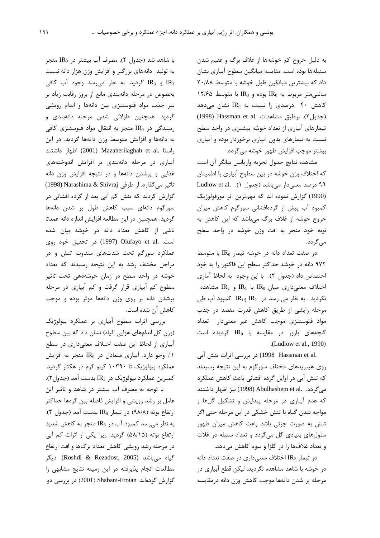به دلیل خروج کم خوشهها از غلاف برگ و عقیم شدن سنبلهها بوده است. مقايسه ميانگين سطوح آبياري نشان داد که بیشترین میانگین طول خوشه با متوسط ۲۰/۸۸  $N/2$ ۵ سانتی متر مربوط به IR<sub>0</sub> بوده و IR<sub>3</sub> با متوسط کاهش ۴۰ درصدی را نسبت به IR<sub>0</sub> نشان میدهد (جدول ٢). برطبق مشاهدات .Hassman et al (1998) تیمارهای آبیاری از تعداد خوشه بیشتری در واحد سطح نسبت به تیمارهای بدون آبیاری برخوردار بوده و آبیاری بيشتر موجب افزايش ظهور خوشه مي گردد.

مشاهده نتايج جدول تجزيه واريانس بيانكر آن است که اختلاف وزن خوشه در بین سطوح آبیاری با اطمینان ۹۹ درصد معنیدار میباشد (جدول ۱). Ludlow et al. (1990) گزارش نموده اند که مهمترین اثر مورفولوژیک كمبود آب پيش از گردهافشاني سورگوم كاهش ميزان خروج خوشه از غلاف برگ میباشد که این کاهش به نوبه خود منجر به افت وزن خوشه در واحد سطح مے گردد.

 $\epsilon$ در صفت تعداد دانه در خوشه تیمار IR0 با متوسط ۹۷۲ دانه در خوشه حداکثر سطح این فاکتور را به خود اختصاص داد (جدول ۲). با این وجود به لحاظ آماری اختلاف معنیداری میان IR<sub>0</sub> با IR<sub>1</sub> و IR<sub>2</sub> مشاهده نگردید . به نظر می رسد در IR2 وIR کمبود آب طی مرحله زایشی از طریق کاهش قدرت مقصد در جذب مواد فتوسنتزى موجب كاهش غير معنىدار تعداد  $\mathbb{R}_0$   $\mathbb{R}_0$   $\mathbb{R}_1$   $\mathbb{R}_0$   $\mathbb{R}_1$   $\mathbb{R}_2$   $\mathbb{R}_3$   $\mathbb{R}_2$   $\mathbb{R}_3$   $\mathbb{R}_4$   $\mathbb{R}_5$   $\mathbb{R}_6$   $\mathbb{R}_7$   $\mathbb{R}_8$   $\mathbb{R}_9$   $\mathbb{R}_9$   $\mathbb{R}_1$   $\mathbb{R}_2$   $\mathbb{R}_3$   $\mathbb{R}_4$   $\mathbb{R}_5$   $\mathbb{R}_6$  .(Ludlow et al., 1990)

.1998 Hassman et al) در بررسی اثرات تنش آبی روی هیبریدهای مختلف سورگوم به این نتیجه رسیدند که تنش آبی در اوایل گرده افشانی باعث کاهش عملکرد می گردد. .Abulhashem et al (1998) نیز اظهار داشتند که عدم آبیاری در مرحله پیدایش و تشکیل گلها و مواجه شدن گیاه با تنش خشکی در این مرحله حتی اگر تنش به صورت جزئی باشد باعث کاهش میزان ظهور سلول های بنیادی گل میگردد و تعداد سنبله در غلات و تعداد غلافها را در كلزا و سويا كاهش مى دهد.

در تیمار IR2 اختلاف معنی داری در صفت تعداد دانه در خوشه با شاهد مشاهده نگردید. لیکن قطع آبیاری در مرحله پر شدن دانهها موجب كاهش وزن دانه درمقايسه

با شاهد شد (جدول ۲). مصرف آب بیشتر در IR<sub>0</sub> منجر به تولید دانههای بزرگتر و افزایش وزن هزار دانه نسبت و IR3 گرديد. به نظر مى رسد وجود آب كافى IR3 بخصوص در مرحله دانهبندی مانع از بروز رقابت زیاد بر سر جذب مواد فتوسنتزى بين دانهها و اندام رويشى گرديد. همچنين طولاني شدن مرحله دانهبندي و رسیدگی در IR0 منجر به انتقال مواد فتوسنتزی کافی به دانهها و افزایش متوسط وزن دانهها گردید. در این راستا .Mazaherilaghab et al اظهار داشتند) آبیاری در مرحله دانهبندی بر افزایش اندوختههای غذایی و پرشدن دانهها و در نتیجه افزایش وزن دانه تاثير مي گذارد. از طرفي Narashima & Shivraj (1998) گزارش کردند که تنش کم آبی بعد از گرده افشانی در سورگوم دانهای سبب کاهش طول پر شدن دانهها گردید. همچنین در این مطالعه افزایش اندازه دانه عمدتا ناشی از کاهش تعداد دانه در خوشه بیان شده است. .Olufayo et al (1997) در تحقیق خود روی عملکرد سورگم تحت شدتهای متفاوت تنش و در مراحل مختلف رشد به این نتیجه رسیدند که تعداد خوشه در واحد سطح در زمان خوشهدهی تحت تاثیر سطوح کم آبیاری قرار گرفت و کم آبیاری در مرحله پرشدن دانه بر روی وزن دانهها موثر بوده و موجب کاهش آن شده است.

بررسی اثرات سطوح آبیاری بر عملکرد بیولوژیک (وزن كل اندامهاى هوايي گياه) نشان داد كه بين سطوح آبیاری از لحاظ این صفت اختلاف معنیداری در سطح  $\lambda$  ). وجو دارد. آبیاری متعادل در IR منجر به افزایش عملکرد بیولوژیک تا ۱۰۳۹۰ کیلو گرم در هکتار گردید. كمترين عملكرد بيولوژيک در IR3 بدست آمد (جدول۲).

با توجه به مصرف آب بیشتر در شاهد و تاثیر این عامل بر رشد رویشی و افزایش فاصله بین گرهها حداکثر ارتفاع بوته (٩٨/٨) در تيمار IR<sub>0</sub> بدست آمد (جدول ٢). به نظر میرسد کمبود آب در IR3 منجر به کاهش شدید ارتفاع بوته (۵۸/۱۵) گردید. زیرا یکی از اثرات کم آبی در مرحله رشد رویشی کاهش تعداد برگ@ا و افت ارتفاع گياه ميباشد (Roshdi & Rezadost, 2005). ديگر مطالعات انجام پذیرفته در این زمینه نتایج مشابهی را گزارش کردهاند. Shabani-Frotan (2001) در بررسی دو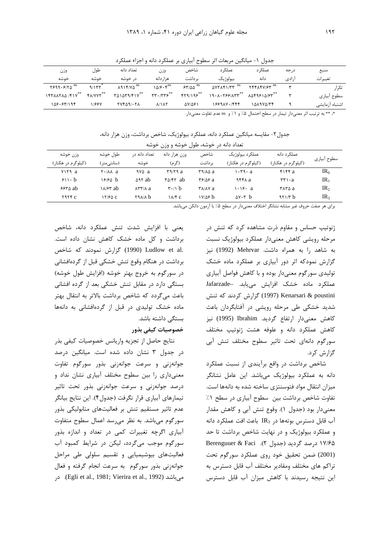جدول ١- میانگین مربعات اثر سطوح آبیاری بر عملکرد دانه و اجزاء عملکرد

| وزن                       | طول              | تعداد دانه                             | وزن                             | شاخص                            | عملک د                        | عملک د                                                 | د, جه | منبع           |
|---------------------------|------------------|----------------------------------------|---------------------------------|---------------------------------|-------------------------------|--------------------------------------------------------|-------|----------------|
| خوشه                      | خوشه             | د, خوشه                                | هزار دانه                       | ىر داشت                         | بيولوژيک                      | دانه                                                   | ازادی | تغييرات        |
| $Y999.9170$ <sup>ns</sup> | 9/155            | $\lambda$ 914/Y $\Delta$ <sup>ns</sup> | $108 \cdot \mathcal{F}^{ns}$    | $ST/\Delta\Delta$ <sup>ns</sup> | $\Delta$ YYAF1/۳۳ $^{\rm ns}$ | $Y$ $Y$ $Y$ $Y$ $Y$ $Y$ $Y$ <sup><math>ns</math></sup> | س     | تک ا,          |
| I FTAATAA /FIV            | <b>FA/VYY</b> ** | $T\Delta 1 \Delta T 1/F1V^{\ast\ast}$  | $rr \cdot 775$                  | FT9/195                         | 19.1.799/100                  | $\lambda \Delta$ ۴۹۶۱۵/۶۳ $*$                          |       | سطوح آبياري    |
| 108.57/198                | 11887            | <b>TYFA91.71</b>                       | $\lambda/\lambda\lambda\lambda$ | $\Delta V/\Delta \mathcal{F}$   | 188988.1444                   | 141974/74                                              |       | اشتباه آزمايشى |

\*، \*\* به ترتيب اثر معنىدار تيمار در سطح احتمال ۵٪ و ١٪ و ns عدم تفاوت معنىدار.

جدول٢- مقايسه ميانگين عملكرد دانه، عملكرد بيولوژيک، شاخص برداشت، وزن هزار دانه،

| تعداد دانه در خوشه، طول خوشه و وزن خوشه |                         |                           |                                                |                                                |                                       |                                          |                 |
|-----------------------------------------|-------------------------|---------------------------|------------------------------------------------|------------------------------------------------|---------------------------------------|------------------------------------------|-----------------|
| وزن خوشه<br>(کیلوگرم در هکتار)          | طول خوشه<br>(سانتے متر) | تعداد دانه د,<br>خوشه     | وزن هزار دانه<br>(گر م)                        | شاخص<br>بر داشت                                | عملکړد بیولوژیک<br>(کیلوگرم در هکتار) | عملکر د دانه<br>(کیلوگرم در هکتار)       | سطوح أبياري     |
| vira a                                  | Y·/AA a                 | чγ∆ а                     | ۳۹/۲۹ a                                        | rans a                                         | 1 • ۳۹ • a                            | FIFF a                                   | IR <sub>0</sub> |
| $511 \cdot b$                           | 1818A h                 | <b>ART ab</b>             | $\mathbf{Y} \Delta / \mathbf{Y} \mathbf{Y}$ ab | ۳۶/۵۶ a                                        | 966X a                                | $\mathbf{r} \mathbf{r} \cdot \mathbf{a}$ | IR <sub>1</sub> |
| $5550$ ab                               | ۱۸/۶۳ ab                | $\lambda$ ۳۳/ $\lambda$ a | $\mathbf{r} \cdot \mathbf{r}$ b                | $\mathsf{r}\wedge\mathsf{r}\wedge\mathsf{r}$ a | 1.16. a                               | ۳۸۳۵ a                                   | IR <sub>2</sub> |
| $Y$ $Y$ $Y$ $Y$ $C$ $T$                 | 17160 C                 | <b>TAAILD</b>             | $\lambda$ / $\epsilon$                         | ۱۷/۵۶ h                                        | $\Delta V \cdot r$ b                  | 471/T h                                  | IR <sub>3</sub> |

برای هر صفت حروف غیر مشابه نشانگر اختلاف معنیدار در سطح ۰٪ با آزمون دانکن میباشد.

يعني با افزايش شدت تنش عملكرد دانه، شاخص برداشت و کل ماده خشک کاهش نشان داده است. .Ludlow et al (1990) گزارش نمودند که شاخص برداشت در هنگام وقوع تنش خشکی قبل از گردهافشانی در سورگوم به خروج بهتر خوشه (افزایش طول خوشه) بستگی دارد در مقابل تنش خشکی بعد از گرده افشانی باعث میگردد که شاخص برداشت بالاتر به انتقال بهتر ماده خشک تولیدی در قبل از گردهافشانی به دانهها بستگی داشته باشد. خصوصيات كيفي بذور

نتايج حاصل از تجزيه واريانس خصوصيات كيفي بذر در جدول ۳ نشان داده شده است. میانگین درصد جوانهزنی و سرعت جوانهزنی بذور سورگوم تفاوت معنیداری را بین سطوح مختلف آبیاری نشان نداد و درصد جوانهزنی و سرعت جوانهزنی بذور تحت تاثیر تیمارهای آبیاری قرار نگرفت (جدول۴). این نتایج بیانگر عدم تاثیر مستقیم تنش بر فعالیتهای متابولیکی بذور سورگوم میباشد. به نظر میرسد اعمال سطوح متفاوت آبیاری اگرچه تغییرات کمی در تعداد و اندازه بذور سورگوم موجب میگردد، لیکن در شرایط کمبود آب فعالیتهای بیوشیمیایی و تقسیم سلولی طی مراحل جوانهزنی بذور سورگوم به سرعت انجام گرفته و فعال میباشد (Egli et al., 1981; Vierira et al., 1992). در

ژنوتیپ حساس و مقاوم ذرت مشاهده کرد که تنش در مرحله رويشي كاهش معنىدار عملكرد بيولوژيك نسبت به شاهد ,ا به همراه داشت. Mehrvar (1992) نیز گزارش نمودکه اثر دور آبیاری بر عملکرد ماده خشک تولیدی سورگوم معنیدار بوده و با کاهش فواصل آبیاری عملکرد ماده خشک افزایش مییابد. -Jafarzade Kenarsari & poustini گزارش کردند که تنش شدید خشکی طی مرحله رویشی در آفتابگردان باعث كاهش معنىدار ارتفاع گرديد. Ibrahim (1995) نيز كاهش عملكرد دانه و علوفه هشت ژنوتيپ مختلف سورگوم دانهای تحت تاثیر سطوح مختلف تنش آبی گزارش کرد.

شاخص برداشت در واقع برآیندی از نسبت عملکرد دانه به عملکرد بیولوژیک میباشد. این عامل نشانگر میزان انتقال مواد فتوسنتزی ساخته شده به دانهها است. تفاوت شاخص برداشت بين سطوح آبياري در سطح ١٪ معنی دار بود (جدول ۱). وقوع تنش آبی و کاهش مقدار آب قابل دسترس بوتهها در IR3 باعث افت عملكرد دانه و عملکرد بیولوژیک و در نهایت شاخص برداشت تا حد ۱۷/۶۵ درصد گردید (جدول ۲). Berenguuer & Faci (2001) ضمن تحقیق خود روی عملکرد سورگوم تحت تراكم هاي مختلف ومقادير مختلف آب قابل دسترس به این نتیجه رسیدند با کاهش میزان آب قابل دسترس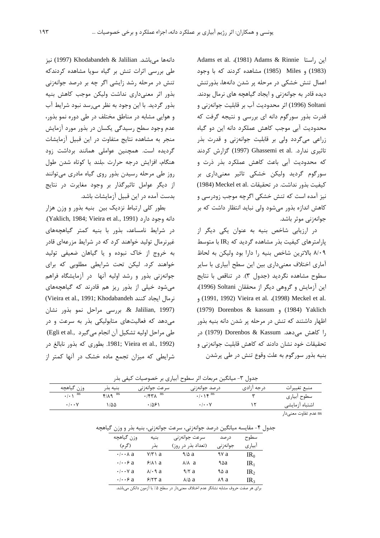Adams et al. (1981) Adams & Rinnie این راستا (1983) و Miles (1985) مشاهده کردند که با وجود اعمال تنش خشکی در مرحله پر شدن دانهها، بذورتنش دیده قادر به جوانهزنی و ایجاد گیاهچه های نرمال بودند. Soltani (1996) اثر محدوديت آب بر قابليت جوانهزني و قدرت بذور سورگوم دانه ای بررسی و نتیجه گرفت که محدودیت آبی موجب کاهش عملکرد دانه این دو گیاه زراعی میگردد ولی بر قابلیت جوانهزنی و قدرت بذر تاثیری ندارد. .Ghassemi et al (1997) گزارش کردند كه محدوديت آبي باعث كاهش عملكرد بذر ذرت و سورگوم گردید ولیکن خشکی تاثیر معنیداری بر كيفيت بذور نداشت. در تحقيقات .Meckel et al (1984) نیز آمده است که تنش خشکی اگرچه موجب زودرسی و كاهش اندازه بذور مى شود ولى نبايد انتظار داشت كه بر جوانەزنى موثر باشد.

در ارزیابی شاخص بنیه به عنوان یکی دیگر از  $IR_2$  یارامترهای کیفیت بذر مشاهده گردید که  $IR_2$  با متوسط ٨/٠٩ بالاترين شاخص بنيه را دارا بود وليكن به لحاظ آماری اختلاف معنیداری بین این سطح آبیاری با سایر سطوح مشاهده نگردید (جدول ٣). در تناقص با نتایج این آزمایش و گروهی دیگر از محققان Soltani (1996)، , (1991, 1992) Vieira et al. (1998) Meckel et al. (1984) (1984) Dorenbos & kassum (1984) Yaklich اظهار داشتند که تنش در مرحله پر شدن دانه بنیه بذور را كاهش مى دهد. Dorenbos & Kassum (1979) در تحقیقات خود نشان دادند که کاهش قابلیت جوانهزنی و بنيه بذور سورگوم به علت وقوع تنش در طي پرشدن

دانهها میباشد. Khodabandeh & Jalilian (1997) نیز طی بررسی اثرات تنش بر گیاه سویا مشاهده کردندکه تنش در مرحله رشد زایشی اگر چه بر درصد جوانهزنی بذور اثر معنى دارى نداشت وليكن موجب كاهش بنيه بذور گرديد. با اين وجود به نظر مي سد نبود شرايط آب و هوایی مشابه در مناطق مختلف در طی دوره نمو بذور، عدم وجود سطح رسیدگی یکسان در بذور مورد آزمایش منجر به مشاهده نتايج متفاوت در اين قبيل آزمايشات گردیده است. همچنین عواملی همانند برداشت زود هنگام، افزایش درجه حرارت ،بلند یا کوتاه شدن طول روز طی مرحله رسیدن بذور روی گیاه مادری میتوانند از دیگر عوامل تاثیرگذار بر وجود مغایرت در نتایج بدست آمده در این قبیل آزمایشات باشد.

بطور کلی ارتباط نزدیک بین بنیه بذور و وزن هزار دانه وجود دارد (Yaklich, 1984; Vieira et al., 1991). در شرایط نامساعد، بذور با بنیه کمتر گیاهچههای غیرنرمال تولید خواهند کرد که در شرایط مزرعهای قادر به خروج از خاک نبوده و یا گیاهان ضعیفی تولید خواهند کرد. لیکن تحت شرایطی مطلوبی که برای جوانهزنی بذور و رشد اولیه آنها در آزمایشگاه فراهم می شود خیلی از بذور ریز هم قادرند که گیاهچههای (Vieira et al., 1991; Khodabandeh نرمال ايجاد كنند & Jalilian, 1997). بررسی مراحل نمو بذور نشان می دهد که فعالیتهای متابولیکی بذر به سرعت و در طي مراحل اوليه تشكيل آن انجام مي گيرد ,Egli et al) 1981; Vieira et al., 1992). بطوري كه بذور نابالغ در شرایطی که میزان تجمع ماده خشک در آنها کمتر از

حدها ٣- ميانگين مربعات اثر سطوح أبياري بر خصوصيات كيف بذر

| میانی مربنات ابر سنس ابیاری بر استوطیات اطیعی بنار<br>$\sim$ |                             |                       |                                                  |             |                                                                                                                 |  |
|--------------------------------------------------------------|-----------------------------|-----------------------|--------------------------------------------------|-------------|-----------------------------------------------------------------------------------------------------------------|--|
| وزن گیاهچه                                                   | بنيه بدر                    | سرعت جوانەزنى         | درصد جوانەزنى                                    | د, جه ا;ادی | منبع تغييرات                                                                                                    |  |
| $\cdot$ / $\cdot$ \ $^{\text{ns}}$                           | $f/\lambda$ q <sup>ns</sup> | $\sqrt{57\lambda}$ ns | $\cdot/\cdot \setminus \mathfrak{S}^{\text{ns}}$ |             | سطوح أبياري                                                                                                     |  |
| $\cdot$ / $\cdot$ $\cdot$ $\vee$                             | ۱۵۵                         | ۱۵۶۰ ک                | $\cdot$ / $\cdot$ $\cdot$ $\vee$                 |             | اشتباه آزمايشى                                                                                                  |  |
|                                                              |                             |                       |                                                  |             | the contract of the contract of the contract of the contract of the contract of the contract of the contract of |  |

ns عدم تفاوت معنے دار

|  |  |  | جدول ۴- مقايسه ميانگين درصد جوانهزني، سرعت جوانهزني، بنيه بذر و وزن گياهچه |  |  |  |
|--|--|--|----------------------------------------------------------------------------|--|--|--|
|--|--|--|----------------------------------------------------------------------------|--|--|--|

| وزن گياهچه                   | بنيه   | سرعت جوانەزنى      | د, صد    | سطوح            |
|------------------------------|--------|--------------------|----------|-----------------|
| (گر م)                       | بذر    | (تعداد بذر در روز) | جوانەزنى | آبياري          |
| $\cdot$ / $\cdot$ $\wedge$ a | ۷/۳۱ a | 9/4 a              | ۹۷ а     | IR <sub>0</sub> |
| $\cdot \cdot \cdot$ ۶ a      | 9/11a  | л/ла               | ۹۵а      | IR <sub>1</sub> |
| $\cdot$ / $\cdot$ $\vee$ a   | л/•9а  | 9/7a               | ۹۵ a     | IR <sub>2</sub> |
| $\cdot \cdot \cdot$ ۶ a      | 277a   | $\lambda/\Delta$ a | л9 а     | IR <sub>3</sub> |

برای هر صفت حروف مشابه نشانگر عدم اختلاف معنیدار در سطح ۰٪ با آزمون دانکن میباشد.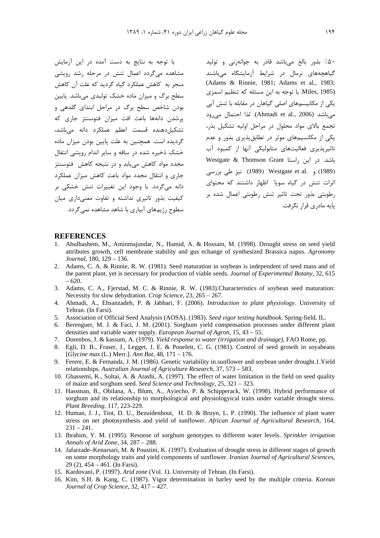با توجه به نتایج به دست آمده در این آزمایش مشاهده میگردد اعمال تنش در مرحله رشد رویشی منحر به کاهش عملکرد گیاه گردید که علت آن کاهش سطح برگ و میزان ماده خشک تولیدی می باشد. پایین بودن شاخص سطح برگ در مراحل ابتدای گلدهی و یرشدن دانهها باعث افت میزان فتوسنتز جاری که تشکیل دهنده قسمت اعظم عملکرد دانه میباشد، گردیده است. همچنین به علت پایین بودن میزان ماده خشک ذخیره شده در ساقه و سایر اندام رویشی انتقال مجدد مواد کاهش می یابد و در نتیجه کاهش فتوسنتز جاری و انتقال مجدد مواد باعث کاهش میزان عملکرد ۔<br>دانه مے گردد. با وجود این تغییرات تنش خشکی بر کیفیت بذور تاثیری نداشته و تفاوت معنیداری میان سطوح ن ههای آبیاری با شاهد مشاهده نمی گردد.

۵۰٪ بذور بالغ میباشد قادر به جوانهزنی و تولید گیاهچههای نرمال در شرایط آزمایشگاه میباشند (Adams & Rinnie, 1981; Adams et al., 1983; Miles, 1985). با توجه به این مسئله که تنظیم اسمزی یکی از مکانیسمهای اصلی گیاهان در مقابله با تنش آبی میباشد (Ahmadi et al., 2006). لذا احتمال می رود تجمع بالای مواد محلول در مراحل اولیه تشکیل بذر، یکی از مکانسیمهای موثر در تطابق پذیری بذور و عدم تاثیریذیری فعالیتهای متابولیکی آنها از کمبود آب باشد. در این راستا Westgate & Thomson Grant (1989) و .Westgate et al (1989) نيز طي بررسي اثرات تنش در گیاه سویا اظهار داشتند که محتوای رطوبتی بذور تحت تاثیر تنش رطوبتی اعمال شده بر يايه مادري قرار نگرفت.

#### **REFERENCES**

- Abulhashem, M., Aminmajundar, N., Hamid, A. & Hossain, M. (1998). Drought stress on seed yield  $1$ attributes growth, cell membrane stability and gus echange of synthesized Brassica napus. Agronomy Journal, 180, 129 - 136.
- 2. Adams, C. A. & Rinnie, R. W. (1981). Seed maturation in soybean is independent of seed mass and of the parent plant, yet is necessary for production of viable seeds. Journal of Experimental Botany, 32, 615  $-620.$
- 3. Adams, C. A., Fjerstad, M. C. & Rinnie, R. W. (1983). Characteristics of soybean seed maturation: Necessity for slow dehydration. Crop Science, 23, 265 – 267.
- 4. Ahmadi, A., Ehsanzadeh, P. & Jabbari, F. (2006). Introduction to plant physiology. University of Tehran. (In Farsi).
- 5. Association of Official Seed Analysis (AOSA). (1983). Seed vigor testing handbook. Spring-field, IL.
- 6. Berenguer, M. J. & Faci, J. M. (2001). Sorghum yield compensation processes under different plant densities and variable water supply. European Journal of Agron,  $15, 43 - 55$ .
- 7. Dorenbos, J. & kassum, A. (1979). Yield response to water (irrigation and drainage), FAO Rome, pp.
- 8. Egli, D. B., Fraser, J., Legget, J. E. & Poneleit, C. G. (1981). Control of seed growth in soyabeans [Glycine max (L.) Merr.]. Ann Bot, 48,  $171 - 176$ .
- 9. Ferere, E. & Fernandz, J. M. (1986). Genetic variability in sunflower and soybean under drought.1. Yield relationships. Australian Journal of Agriculture Research, 37, 573 – 583.
- 10. Ghassemi, K., Soltai, A. & Atashi, A. (1997). The effect of water limitation in the field on seed quality of maize and sorghum seed. Seed Science and Technology, 25, 321 – 323.
- 11. Hassman, B., Obilana, A., Blum, A., Ayiecho, P. & Schipperack, W. (1998). Hybrid performance of sorghum and its relationship to morphological and physiologyical traits under variable drought stress. Plant Breeding, 117, 223-229.
- 12. Human, J. J., Tiot, D. U., Bezuidenhout, H. D. & Bruyn, L. P. (1990). The influence of plant water stress on net photosynthesis and yield of sunflower. African Journal of Agricultural Research, 164,  $231 - 241.$
- 13. Ibrahim, Y. M. (1995). Resonse of sorghum genotypes to different water levels. Sprinkler irrigation Annals of Arid Zone, 34, 287 - 288.
- 14. Jafarzade–Kenarsari, M. & Poustini, K. (1997). Evaluation of drought stress in different stages of growth on some morphology traits and yield components of sunflower. Iranian Journal of Agricultural Sciences,  $29(2)$ ,  $454 - 461$ . (In Farsi).
- 15. Kardovani, P. (1997). Arid zone (Vol. 1). University of Tehran. (In Farsi).
- 16. Kim, S.H. & Kang, C. (1987). Vigor determination in barley seed by the multiple criteria. Korean Journal of Crop Science, 32, 417 - 427.